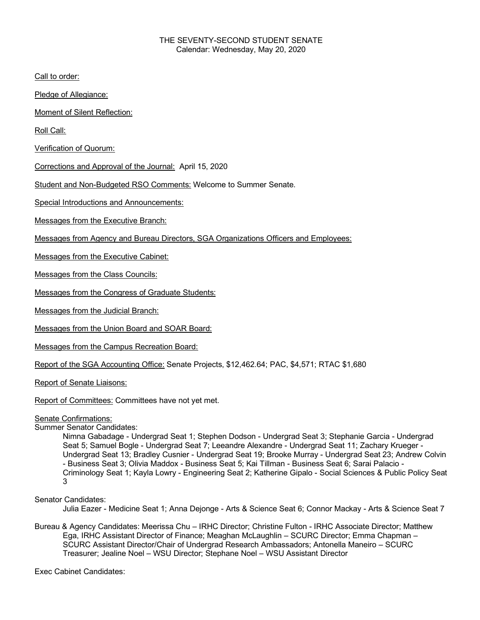### THE SEVENTY-SECOND STUDENT SENATE Calendar: Wednesday, May 20, 2020

Call to order:

Pledge of Allegiance:

Moment of Silent Reflection:

Roll Call:

Verification of Quorum:

Corrections and Approval of the Journal: April 15, 2020

Student and Non-Budgeted RSO Comments: Welcome to Summer Senate.

Special Introductions and Announcements:

Messages from the Executive Branch:

Messages from Agency and Bureau Directors, SGA Organizations Officers and Employees:

Messages from the Executive Cabinet:

Messages from the Class Councils:

Messages from the Congress of Graduate Students:

Messages from the Judicial Branch:

Messages from the Union Board and SOAR Board:

Messages from the Campus Recreation Board:

Report of the SGA Accounting Office: Senate Projects, \$12,462.64; PAC, \$4,571; RTAC \$1,680

Report of Senate Liaisons:

Report of Committees: Committees have not yet met.

#### Senate Confirmations:

### Summer Senator Candidates:

Nimna Gabadage - Undergrad Seat 1; Stephen Dodson - Undergrad Seat 3; Stephanie Garcia - Undergrad Seat 5; Samuel Bogle - Undergrad Seat 7; Leeandre Alexandre - Undergrad Seat 11; Zachary Krueger - Undergrad Seat 13; Bradley Cusnier - Undergrad Seat 19; Brooke Murray - Undergrad Seat 23; Andrew Colvin - Business Seat 3; Olivia Maddox - Business Seat 5; Kai Tillman - Business Seat 6; Sarai Palacio - Criminology Seat 1; Kayla Lowry - Engineering Seat 2; Katherine Gipalo - Social Sciences & Public Policy Seat 3

Senator Candidates:

Julia Eazer - Medicine Seat 1; Anna Dejonge - Arts & Science Seat 6; Connor Mackay - Arts & Science Seat 7

Bureau & Agency Candidates: Meerissa Chu – IRHC Director; Christine Fulton - IRHC Associate Director; Matthew Ega, IRHC Assistant Director of Finance; Meaghan McLaughlin – SCURC Director; Emma Chapman – SCURC Assistant Director/Chair of Undergrad Research Ambassadors; Antonella Maneiro – SCURC Treasurer; Jealine Noel – WSU Director; Stephane Noel – WSU Assistant Director

Exec Cabinet Candidates: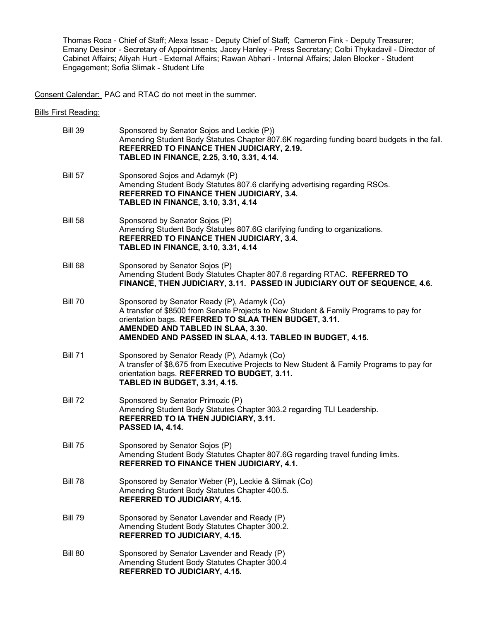Thomas Roca - Chief of Staff; Alexa Issac - Deputy Chief of Staff; Cameron Fink - Deputy Treasurer; Emany Desinor - Secretary of Appointments; Jacey Hanley - Press Secretary; Colbi Thykadavil - Director of Cabinet Affairs; Aliyah Hurt - External Affairs; Rawan Abhari - Internal Affairs; Jalen Blocker - Student Engagement; Sofia Slimak - Student Life

Consent Calendar: PAC and RTAC do not meet in the summer.

Bills First Reading:

| <b>Bill 39</b> | Sponsored by Senator Sojos and Leckie (P))<br>Amending Student Body Statutes Chapter 807.6K regarding funding board budgets in the fall.<br>REFERRED TO FINANCE THEN JUDICIARY, 2.19.<br>TABLED IN FINANCE, 2.25, 3.10, 3.31, 4.14.                                                             |
|----------------|-------------------------------------------------------------------------------------------------------------------------------------------------------------------------------------------------------------------------------------------------------------------------------------------------|
| <b>Bill 57</b> | Sponsored Sojos and Adamyk (P)<br>Amending Student Body Statutes 807.6 clarifying advertising regarding RSOs.<br>REFERRED TO FINANCE THEN JUDICIARY, 3.4.<br>TABLED IN FINANCE, 3.10, 3.31, 4.14                                                                                                |
| <b>Bill 58</b> | Sponsored by Senator Sojos (P)<br>Amending Student Body Statutes 807.6G clarifying funding to organizations.<br>REFERRED TO FINANCE THEN JUDICIARY, 3.4.<br><b>TABLED IN FINANCE, 3.10, 3.31, 4.14</b>                                                                                          |
| Bill 68        | Sponsored by Senator Sojos (P)<br>Amending Student Body Statutes Chapter 807.6 regarding RTAC. REFERRED TO<br>FINANCE, THEN JUDICIARY, 3.11. PASSED IN JUDICIARY OUT OF SEQUENCE, 4.6.                                                                                                          |
| <b>Bill 70</b> | Sponsored by Senator Ready (P), Adamyk (Co)<br>A transfer of \$8500 from Senate Projects to New Student & Family Programs to pay for<br>orientation bags. REFERRED TO SLAA THEN BUDGET, 3.11.<br>AMENDED AND TABLED IN SLAA, 3.30.<br>AMENDED AND PASSED IN SLAA, 4.13. TABLED IN BUDGET, 4.15. |
| <b>Bill 71</b> | Sponsored by Senator Ready (P), Adamyk (Co)<br>A transfer of \$8,675 from Executive Projects to New Student & Family Programs to pay for<br>orientation bags. REFERRED TO BUDGET, 3.11.<br><b>TABLED IN BUDGET, 3.31, 4.15.</b>                                                                 |
| <b>Bill 72</b> | Sponsored by Senator Primozic (P)<br>Amending Student Body Statutes Chapter 303.2 regarding TLI Leadership.<br><b>REFERRED TO IA THEN JUDICIARY, 3.11.</b><br>PASSED IA, 4.14.                                                                                                                  |
| <b>Bill 75</b> | Sponsored by Senator Sojos (P)<br>Amending Student Body Statutes Chapter 807.6G regarding travel funding limits.<br>REFERRED TO FINANCE THEN JUDICIARY, 4.1.                                                                                                                                    |
| <b>Bill 78</b> | Sponsored by Senator Weber (P), Leckie & Slimak (Co)<br>Amending Student Body Statutes Chapter 400.5.<br><b>REFERRED TO JUDICIARY, 4.15.</b>                                                                                                                                                    |
| <b>Bill 79</b> | Sponsored by Senator Lavender and Ready (P)<br>Amending Student Body Statutes Chapter 300.2.<br><b>REFERRED TO JUDICIARY, 4.15.</b>                                                                                                                                                             |
| <b>Bill 80</b> | Sponsored by Senator Lavender and Ready (P)<br>Amending Student Body Statutes Chapter 300.4<br><b>REFERRED TO JUDICIARY, 4.15.</b>                                                                                                                                                              |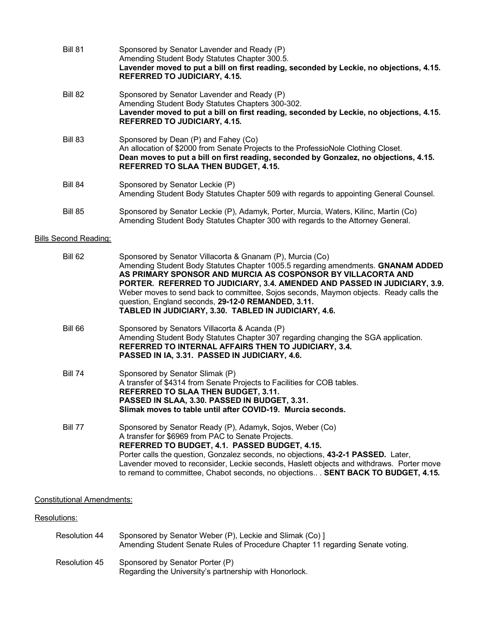| Bill 81        | Sponsored by Senator Lavender and Ready (P)<br>Amending Student Body Statutes Chapter 300.5.<br>Lavender moved to put a bill on first reading, seconded by Leckie, no objections, 4.15.<br><b>REFERRED TO JUDICIARY, 4.15.</b>                                    |
|----------------|-------------------------------------------------------------------------------------------------------------------------------------------------------------------------------------------------------------------------------------------------------------------|
| Bill 82        | Sponsored by Senator Lavender and Ready (P)<br>Amending Student Body Statutes Chapters 300-302.<br>Lavender moved to put a bill on first reading, seconded by Leckie, no objections, 4.15.<br><b>REFERRED TO JUDICIARY, 4.15.</b>                                 |
| Bill 83        | Sponsored by Dean (P) and Fahey (Co)<br>An allocation of \$2000 from Senate Projects to the ProfessioNole Clothing Closet.<br>Dean moves to put a bill on first reading, seconded by Gonzalez, no objections, 4.15.<br><b>REFERRED TO SLAA THEN BUDGET, 4.15.</b> |
| <b>Bill 84</b> | Sponsored by Senator Leckie (P)<br>Amending Student Body Statutes Chapter 509 with regards to appointing General Counsel.                                                                                                                                         |
| <b>Bill 85</b> | Sponsored by Senator Leckie (P), Adamyk, Porter, Murcia, Waters, Kilinc, Martin (Co)<br>Amending Student Body Statutes Chapter 300 with regards to the Attorney General.                                                                                          |

# **Bills Second Reading:**

| Bill 62        | Sponsored by Senator Villacorta & Gnanam (P), Murcia (Co)<br>Amending Student Body Statutes Chapter 1005.5 regarding amendments. GNANAM ADDED<br>AS PRIMARY SPONSOR AND MURCIA AS COSPONSOR BY VILLACORTA AND<br>PORTER. REFERRED TO JUDICIARY, 3.4. AMENDED AND PASSED IN JUDICIARY, 3.9.<br>Weber moves to send back to committee, Sojos seconds, Maymon objects. Ready calls the<br>question, England seconds, 29-12-0 REMANDED, 3.11.<br>TABLED IN JUDICIARY, 3.30. TABLED IN JUDICIARY, 4.6. |
|----------------|---------------------------------------------------------------------------------------------------------------------------------------------------------------------------------------------------------------------------------------------------------------------------------------------------------------------------------------------------------------------------------------------------------------------------------------------------------------------------------------------------|
| Bill 66        | Sponsored by Senators Villacorta & Acanda (P)<br>Amending Student Body Statutes Chapter 307 regarding changing the SGA application.<br>REFERRED TO INTERNAL AFFAIRS THEN TO JUDICIARY, 3.4.<br>PASSED IN IA, 3.31. PASSED IN JUDICIARY, 4.6.                                                                                                                                                                                                                                                      |
| <b>Bill 74</b> | Sponsored by Senator Slimak (P)<br>A transfer of \$4314 from Senate Projects to Facilities for COB tables.<br><b>REFERRED TO SLAA THEN BUDGET, 3.11.</b><br>PASSED IN SLAA, 3.30. PASSED IN BUDGET, 3.31.<br>Slimak moves to table until after COVID-19. Murcia seconds.                                                                                                                                                                                                                          |
| Bill 77        | Sponsored by Senator Ready (P), Adamyk, Sojos, Weber (Co)<br>A transfer for \$6969 from PAC to Senate Projects.<br>REFERRED TO BUDGET, 4.1. PASSED BUDGET, 4.15.<br>Porter calls the question, Gonzalez seconds, no objections, 43-2-1 PASSED. Later,<br>Lavender moved to reconsider, Leckie seconds, Haslett objects and withdraws. Porter move<br>to remand to committee, Chabot seconds, no objections SENT BACK TO BUDGET, 4.15.                                                             |

# Constitutional Amendments:

# Resolutions:

| Resolution 44 | Sponsored by Senator Weber (P), Leckie and Slimak (Co) 1<br>Amending Student Senate Rules of Procedure Chapter 11 regarding Senate voting. |
|---------------|--------------------------------------------------------------------------------------------------------------------------------------------|
| Resolution 45 | Sponsored by Senator Porter (P)<br>Regarding the University's partnership with Honorlock.                                                  |